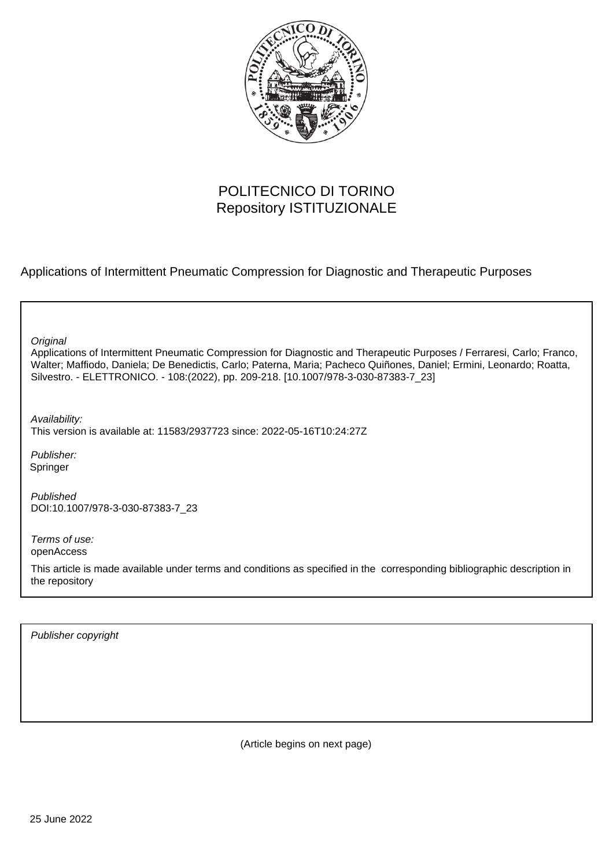

# POLITECNICO DI TORINO Repository ISTITUZIONALE

Applications of Intermittent Pneumatic Compression for Diagnostic and Therapeutic Purposes

| Original<br>Applications of Intermittent Pneumatic Compression for Diagnostic and Therapeutic Purposes / Ferraresi, Carlo; Franco,<br>Walter; Maffiodo, Daniela; De Benedictis, Carlo; Paterna, Maria; Pacheco Quiñones, Daniel; Ermini, Leonardo; Roatta,<br>Silvestro. - ELETTRONICO. - 108:(2022), pp. 209-218. [10.1007/978-3-030-87383-7_23] |
|---------------------------------------------------------------------------------------------------------------------------------------------------------------------------------------------------------------------------------------------------------------------------------------------------------------------------------------------------|
| Availability:<br>This version is available at: 11583/2937723 since: 2022-05-16T10:24:27Z                                                                                                                                                                                                                                                          |
| Publisher:<br>Springer                                                                                                                                                                                                                                                                                                                            |
| Published<br>DOI:10.1007/978-3-030-87383-7 23                                                                                                                                                                                                                                                                                                     |
| Terms of use:<br>openAccess                                                                                                                                                                                                                                                                                                                       |
| This article is made available under terms and conditions as specified in the corresponding bibliographic description in<br>the repository                                                                                                                                                                                                        |
|                                                                                                                                                                                                                                                                                                                                                   |

Publisher copyright

(Article begins on next page)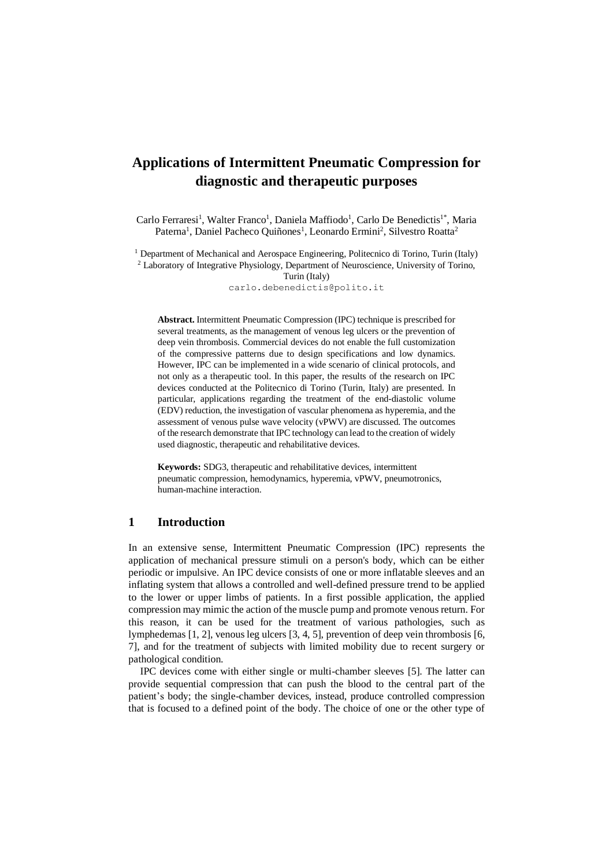# **Applications of Intermittent Pneumatic Compression for diagnostic and therapeutic purposes**

Carlo Ferraresi<sup>1</sup>, Walter Franco<sup>1</sup>, Daniela Maffiodo<sup>1</sup>, Carlo De Benedictis<sup>1\*</sup>, Maria Paterna<sup>1</sup>, Daniel Pacheco Quiñones<sup>1</sup>, Leonardo Ermini<sup>2</sup>, Silvestro Roatta<sup>2</sup>

<sup>1</sup> Department of Mechanical and Aerospace Engineering, Politecnico di Torino, Turin (Italy) <sup>2</sup> Laboratory of Integrative Physiology, Department of Neuroscience, University of Torino,

Turin (Italy)

carlo.debenedictis@polito.it

**Abstract.** Intermittent Pneumatic Compression (IPC) technique is prescribed for several treatments, as the management of venous leg ulcers or the prevention of deep vein thrombosis. Commercial devices do not enable the full customization of the compressive patterns due to design specifications and low dynamics. However, IPC can be implemented in a wide scenario of clinical protocols, and not only as a therapeutic tool. In this paper, the results of the research on IPC devices conducted at the Politecnico di Torino (Turin, Italy) are presented. In particular, applications regarding the treatment of the end-diastolic volume (EDV) reduction, the investigation of vascular phenomena as hyperemia, and the assessment of venous pulse wave velocity (vPWV) are discussed. The outcomes of the research demonstrate that IPC technology can lead to the creation of widely used diagnostic, therapeutic and rehabilitative devices.

**Keywords:** SDG3, therapeutic and rehabilitative devices, intermittent pneumatic compression, hemodynamics, hyperemia, vPWV, pneumotronics, human-machine interaction.

#### **1 Introduction**

In an extensive sense, Intermittent Pneumatic Compression (IPC) represents the application of mechanical pressure stimuli on a person's body, which can be either periodic or impulsive. An IPC device consists of one or more inflatable sleeves and an inflating system that allows a controlled and well-defined pressure trend to be applied to the lower or upper limbs of patients. In a first possible application, the applied compression may mimic the action of the muscle pump and promote venous return. For this reason, it can be used for the treatment of various pathologies, such as lymphedemas [1, 2], venous leg ulcers [3, 4, 5], prevention of deep vein thrombosis [6, 7], and for the treatment of subjects with limited mobility due to recent surgery or pathological condition.

IPC devices come with either single or multi-chamber sleeves [5]. The latter can provide sequential compression that can push the blood to the central part of the patient's body; the single-chamber devices, instead, produce controlled compression that is focused to a defined point of the body. The choice of one or the other type of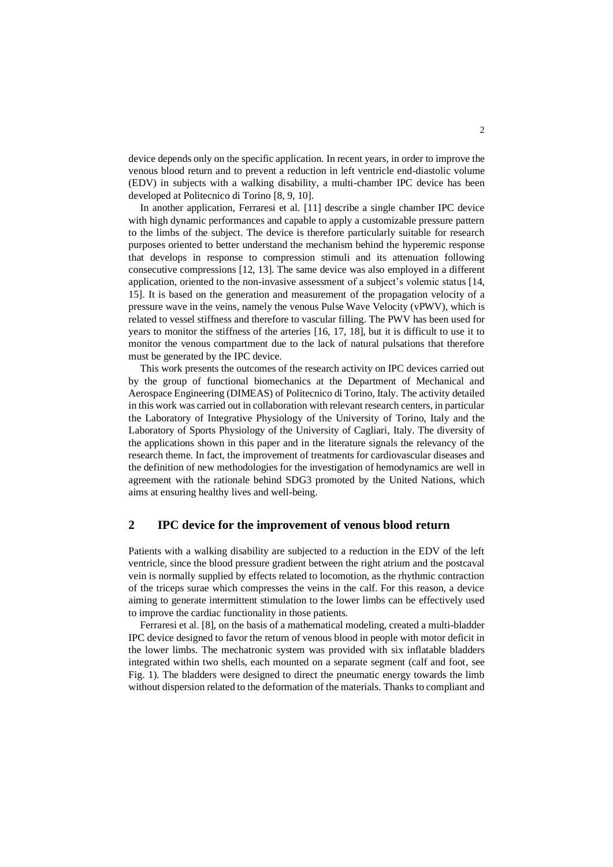device depends only on the specific application. In recent years, in order to improve the venous blood return and to prevent a reduction in left ventricle end-diastolic volume (EDV) in subjects with a walking disability, a multi-chamber IPC device has been developed at Politecnico di Torino [8, 9, 10].

In another application, Ferraresi et al. [11] describe a single chamber IPC device with high dynamic performances and capable to apply a customizable pressure pattern to the limbs of the subject. The device is therefore particularly suitable for research purposes oriented to better understand the mechanism behind the hyperemic response that develops in response to compression stimuli and its attenuation following consecutive compressions [12, 13]. The same device was also employed in a different application, oriented to the non-invasive assessment of a subject's volemic status [14, 15]. It is based on the generation and measurement of the propagation velocity of a pressure wave in the veins, namely the venous Pulse Wave Velocity (vPWV), which is related to vessel stiffness and therefore to vascular filling. The PWV has been used for years to monitor the stiffness of the arteries [16, 17, 18], but it is difficult to use it to monitor the venous compartment due to the lack of natural pulsations that therefore must be generated by the IPC device.

This work presents the outcomes of the research activity on IPC devices carried out by the group of functional biomechanics at the Department of Mechanical and Aerospace Engineering (DIMEAS) of Politecnico di Torino, Italy. The activity detailed in this work was carried out in collaboration with relevant research centers, in particular the Laboratory of Integrative Physiology of the University of Torino, Italy and the Laboratory of Sports Physiology of the University of Cagliari, Italy. The diversity of the applications shown in this paper and in the literature signals the relevancy of the research theme. In fact, the improvement of treatments for cardiovascular diseases and the definition of new methodologies for the investigation of hemodynamics are well in agreement with the rationale behind SDG3 promoted by the United Nations, which aims at ensuring healthy lives and well-being.

### **2 IPC device for the improvement of venous blood return**

Patients with a walking disability are subjected to a reduction in the EDV of the left ventricle, since the blood pressure gradient between the right atrium and the postcaval vein is normally supplied by effects related to locomotion, as the rhythmic contraction of the triceps surae which compresses the veins in the calf. For this reason, a device aiming to generate intermittent stimulation to the lower limbs can be effectively used to improve the cardiac functionality in those patients.

Ferraresi et al. [8], on the basis of a mathematical modeling, created a multi-bladder IPC device designed to favor the return of venous blood in people with motor deficit in the lower limbs. The mechatronic system was provided with six inflatable bladders integrated within two shells, each mounted on a separate segment (calf and foot, see Fig. 1). The bladders were designed to direct the pneumatic energy towards the limb without dispersion related to the deformation of the materials. Thanks to compliant and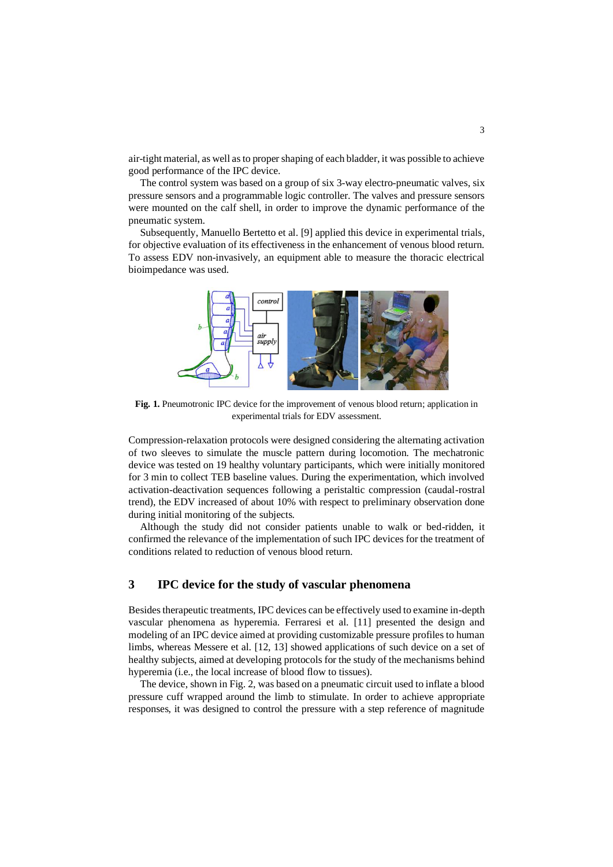air-tight material, as well as to proper shaping of each bladder, it was possible to achieve good performance of the IPC device.

The control system was based on a group of six 3-way electro-pneumatic valves, six pressure sensors and a programmable logic controller. The valves and pressure sensors were mounted on the calf shell, in order to improve the dynamic performance of the pneumatic system.

Subsequently, Manuello Bertetto et al. [9] applied this device in experimental trials, for objective evaluation of its effectiveness in the enhancement of venous blood return. To assess EDV non-invasively, an equipment able to measure the thoracic electrical bioimpedance was used.



**Fig. 1.** Pneumotronic IPC device for the improvement of venous blood return; application in experimental trials for EDV assessment.

Compression-relaxation protocols were designed considering the alternating activation of two sleeves to simulate the muscle pattern during locomotion. The mechatronic device was tested on 19 healthy voluntary participants, which were initially monitored for 3 min to collect TEB baseline values. During the experimentation, which involved activation-deactivation sequences following a peristaltic compression (caudal-rostral trend), the EDV increased of about 10% with respect to preliminary observation done during initial monitoring of the subjects.

Although the study did not consider patients unable to walk or bed-ridden, it confirmed the relevance of the implementation of such IPC devices for the treatment of conditions related to reduction of venous blood return.

## **3 IPC device for the study of vascular phenomena**

Besides therapeutic treatments, IPC devices can be effectively used to examine in-depth vascular phenomena as hyperemia. Ferraresi et al. [11] presented the design and modeling of an IPC device aimed at providing customizable pressure profiles to human limbs, whereas Messere et al. [12, 13] showed applications of such device on a set of healthy subjects, aimed at developing protocols for the study of the mechanisms behind hyperemia (i.e., the local increase of blood flow to tissues).

The device, shown in Fig. 2, was based on a pneumatic circuit used to inflate a blood pressure cuff wrapped around the limb to stimulate. In order to achieve appropriate responses, it was designed to control the pressure with a step reference of magnitude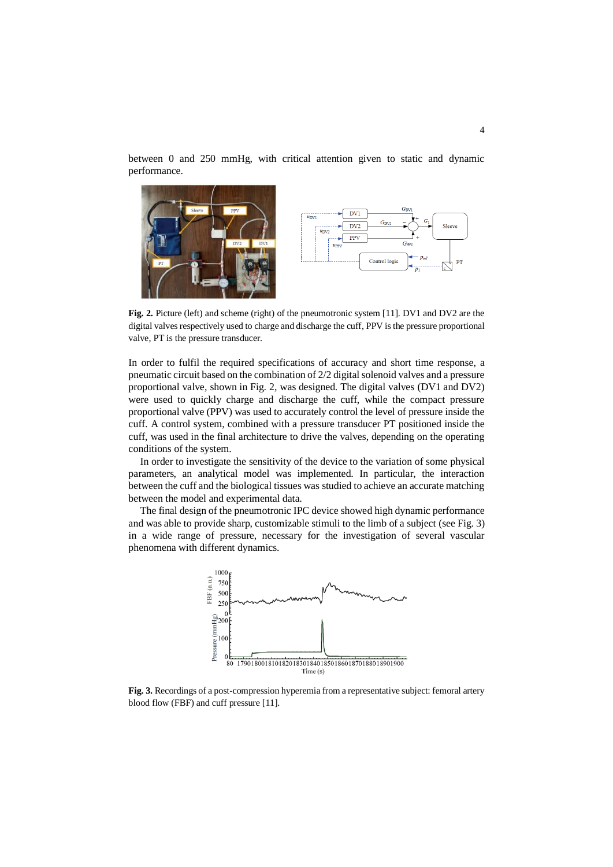between 0 and 250 mmHg, with critical attention given to static and dynamic performance.



Fig. 2. Picture (left) and scheme (right) of the pneumotronic system [11]. DV1 and DV2 are the digital valves respectively used to charge and discharge the cuff, PPV is the pressure proportional valve, PT is the pressure transducer.

In order to fulfil the required specifications of accuracy and short time response, a pneumatic circuit based on the combination of 2/2 digital solenoid valves and a pressure proportional valve, shown in Fig. 2, was designed. The digital valves (DV1 and DV2) were used to quickly charge and discharge the cuff, while the compact pressure proportional valve (PPV) was used to accurately control the level of pressure inside the cuff. A control system, combined with a pressure transducer PT positioned inside the cuff, was used in the final architecture to drive the valves, depending on the operating conditions of the system.

In order to investigate the sensitivity of the device to the variation of some physical parameters, an analytical model was implemented. In particular, the interaction between the cuff and the biological tissues was studied to achieve an accurate matching between the model and experimental data.

The final design of the pneumotronic IPC device showed high dynamic performance and was able to provide sharp, customizable stimuli to the limb of a subject (see Fig. 3) in a wide range of pressure, necessary for the investigation of several vascular phenomena with different dynamics.



**Fig. 3.** Recordings of a post-compression hyperemia from a representative subject: femoral artery blood flow (FBF) and cuff pressure [11].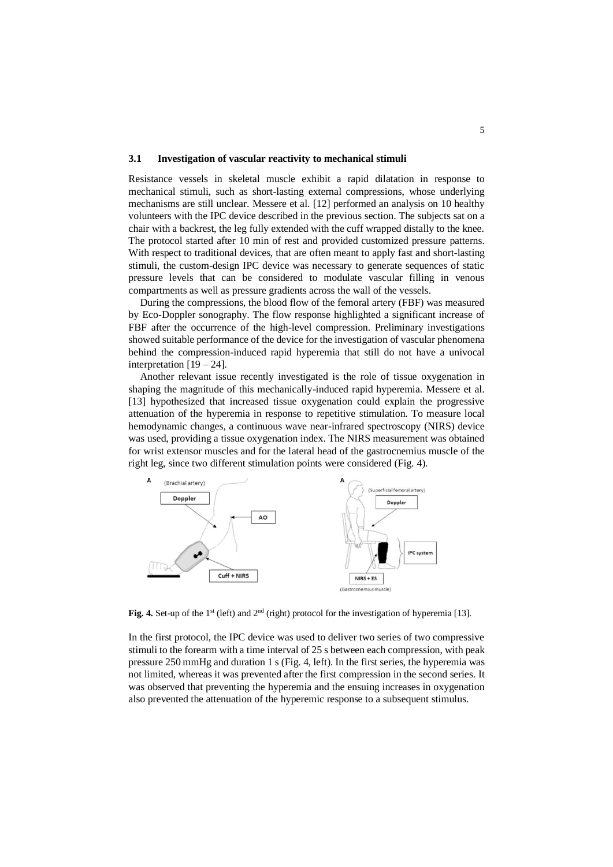#### **3.1 Investigation of vascular reactivity to mechanical stimuli**

Resistance vessels in skeletal muscle exhibit a rapid dilatation in response to mechanical stimuli, such as short-lasting external compressions, whose underlying mechanisms are still unclear. Messere et al. [12] performed an analysis on 10 healthy volunteers with the IPC device described in the previous section. The subjects sat on a chair with a backrest, the leg fully extended with the cuff wrapped distally to the knee. The protocol started after 10 min of rest and provided customized pressure patterns. With respect to traditional devices, that are often meant to apply fast and short-lasting stimuli, the custom-design IPC device was necessary to generate sequences of static pressure levels that can be considered to modulate vascular filling in venous compartments as well as pressure gradients across the wall of the vessels.

During the compressions, the blood flow of the femoral artery (FBF) was measured by Eco-Doppler sonography. The flow response highlighted a significant increase of FBF after the occurrence of the high-level compression. Preliminary investigations showed suitable performance of the device for the investigation of vascular phenomena behind the compression-induced rapid hyperemia that still do not have a univocal interpretation [19 – 24].

Another relevant issue recently investigated is the role of tissue oxygenation in shaping the magnitude of this mechanically-induced rapid hyperemia. Messere et al. [13] hypothesized that increased tissue oxygenation could explain the progressive attenuation of the hyperemia in response to repetitive stimulation. To measure local hemodynamic changes, a continuous wave near-infrared spectroscopy (NIRS) device was used, providing a tissue oxygenation index. The NIRS measurement was obtained for wrist extensor muscles and for the lateral head of the gastrocnemius muscle of the right leg, since two different stimulation points were considered (Fig. 4).



Fig. 4. Set-up of the 1<sup>st</sup> (left) and 2<sup>nd</sup> (right) protocol for the investigation of hyperemia [13].

In the first protocol, the IPC device was used to deliver two series of two compressive stimuli to the forearm with a time interval of 25 s between each compression, with peak pressure 250 mmHg and duration 1 s (Fig. 4, left). In the first series, the hyperemia was not limited, whereas it was prevented after the first compression in the second series. It was observed that preventing the hyperemia and the ensuing increases in oxygenation also prevented the attenuation of the hyperemic response to a subsequent stimulus.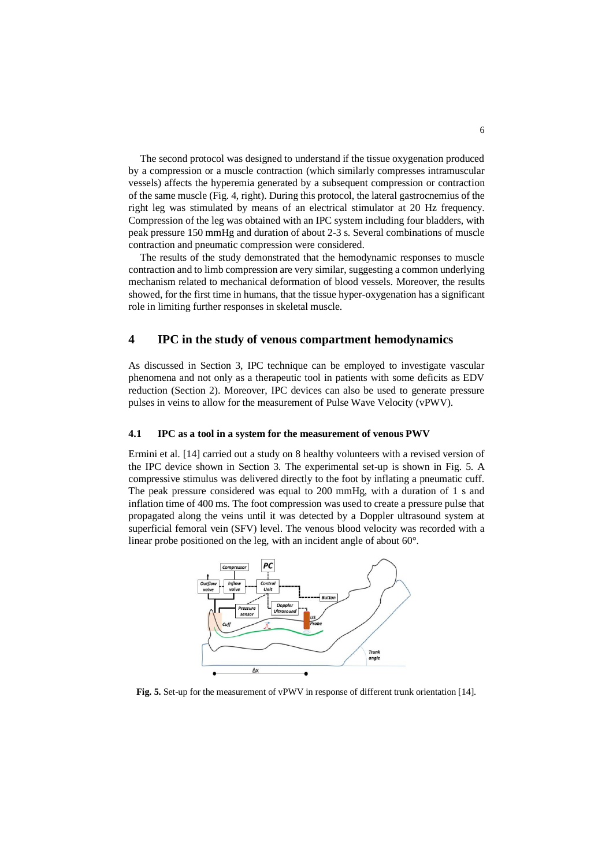The second protocol was designed to understand if the tissue oxygenation produced by a compression or a muscle contraction (which similarly compresses intramuscular vessels) affects the hyperemia generated by a subsequent compression or contraction of the same muscle (Fig. 4, right). During this protocol, the lateral gastrocnemius of the right leg was stimulated by means of an electrical stimulator at 20 Hz frequency. Compression of the leg was obtained with an IPC system including four bladders, with peak pressure 150 mmHg and duration of about 2-3 s. Several combinations of muscle contraction and pneumatic compression were considered.

The results of the study demonstrated that the hemodynamic responses to muscle contraction and to limb compression are very similar, suggesting a common underlying mechanism related to mechanical deformation of blood vessels. Moreover, the results showed, for the first time in humans, that the tissue hyper-oxygenation has a significant role in limiting further responses in skeletal muscle.

#### **4 IPC in the study of venous compartment hemodynamics**

As discussed in Section 3, IPC technique can be employed to investigate vascular phenomena and not only as a therapeutic tool in patients with some deficits as EDV reduction (Section 2). Moreover, IPC devices can also be used to generate pressure pulses in veins to allow for the measurement of Pulse Wave Velocity (vPWV).

#### **4.1 IPC as a tool in a system for the measurement of venous PWV**

Ermini et al. [14] carried out a study on 8 healthy volunteers with a revised version of the IPC device shown in Section 3. The experimental set-up is shown in Fig. 5. A compressive stimulus was delivered directly to the foot by inflating a pneumatic cuff. The peak pressure considered was equal to 200 mmHg, with a duration of 1 s and inflation time of 400 ms. The foot compression was used to create a pressure pulse that propagated along the veins until it was detected by a Doppler ultrasound system at superficial femoral vein (SFV) level. The venous blood velocity was recorded with a linear probe positioned on the leg, with an incident angle of about 60°.



**Fig. 5.** Set-up for the measurement of vPWV in response of different trunk orientation [14].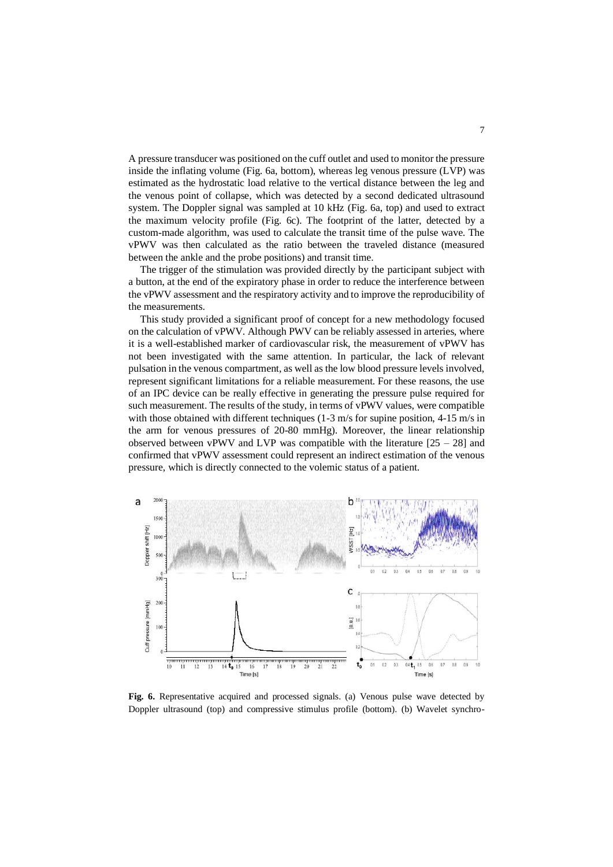A pressure transducer was positioned on the cuff outlet and used to monitor the pressure inside the inflating volume (Fig. 6a, bottom), whereas leg venous pressure (LVP) was estimated as the hydrostatic load relative to the vertical distance between the leg and the venous point of collapse, which was detected by a second dedicated ultrasound system. The Doppler signal was sampled at 10 kHz (Fig. 6a, top) and used to extract the maximum velocity profile (Fig. 6c). The footprint of the latter, detected by a custom-made algorithm, was used to calculate the transit time of the pulse wave. The vPWV was then calculated as the ratio between the traveled distance (measured between the ankle and the probe positions) and transit time.

The trigger of the stimulation was provided directly by the participant subject with a button, at the end of the expiratory phase in order to reduce the interference between the vPWV assessment and the respiratory activity and to improve the reproducibility of the measurements.

This study provided a significant proof of concept for a new methodology focused on the calculation of vPWV. Although PWV can be reliably assessed in arteries, where it is a well-established marker of cardiovascular risk, the measurement of vPWV has not been investigated with the same attention. In particular, the lack of relevant pulsation in the venous compartment, as well as the low blood pressure levels involved, represent significant limitations for a reliable measurement. For these reasons, the use of an IPC device can be really effective in generating the pressure pulse required for such measurement. The results of the study, in terms of vPWV values, were compatible with those obtained with different techniques  $(1-3 \text{ m/s})$  for supine position,  $4-15 \text{ m/s}$  in the arm for venous pressures of 20-80 mmHg). Moreover, the linear relationship observed between vPWV and LVP was compatible with the literature  $[25 - 28]$  and confirmed that vPWV assessment could represent an indirect estimation of the venous pressure, which is directly connected to the volemic status of a patient.



**Fig. 6.** Representative acquired and processed signals. (a) Venous pulse wave detected by Doppler ultrasound (top) and compressive stimulus profile (bottom). (b) Wavelet synchro-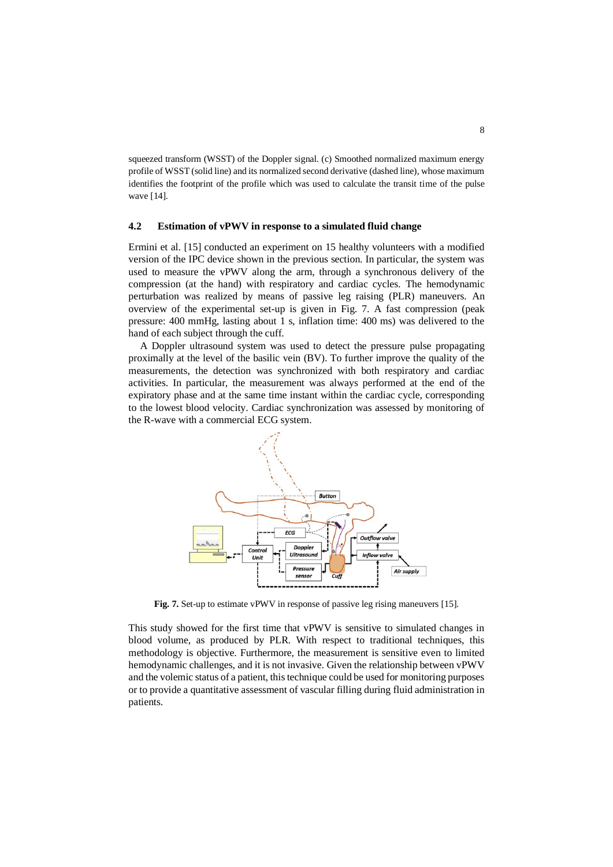squeezed transform (WSST) of the Doppler signal. (c) Smoothed normalized maximum energy profile of WSST (solid line) and its normalized second derivative (dashed line), whose maximum identifies the footprint of the profile which was used to calculate the transit time of the pulse wave [14].

#### **4.2 Estimation of vPWV in response to a simulated fluid change**

Ermini et al. [15] conducted an experiment on 15 healthy volunteers with a modified version of the IPC device shown in the previous section. In particular, the system was used to measure the vPWV along the arm, through a synchronous delivery of the compression (at the hand) with respiratory and cardiac cycles. The hemodynamic perturbation was realized by means of passive leg raising (PLR) maneuvers. An overview of the experimental set-up is given in Fig. 7. A fast compression (peak pressure: 400 mmHg, lasting about 1 s, inflation time: 400 ms) was delivered to the hand of each subject through the cuff.

A Doppler ultrasound system was used to detect the pressure pulse propagating proximally at the level of the basilic vein (BV). To further improve the quality of the measurements, the detection was synchronized with both respiratory and cardiac activities. In particular, the measurement was always performed at the end of the expiratory phase and at the same time instant within the cardiac cycle, corresponding to the lowest blood velocity. Cardiac synchronization was assessed by monitoring of the R-wave with a commercial ECG system.



**Fig. 7.** Set-up to estimate vPWV in response of passive leg rising maneuvers [15].

This study showed for the first time that vPWV is sensitive to simulated changes in blood volume, as produced by PLR. With respect to traditional techniques, this methodology is objective. Furthermore, the measurement is sensitive even to limited hemodynamic challenges, and it is not invasive. Given the relationship between vPWV and the volemic status of a patient, this technique could be used for monitoring purposes or to provide a quantitative assessment of vascular filling during fluid administration in patients.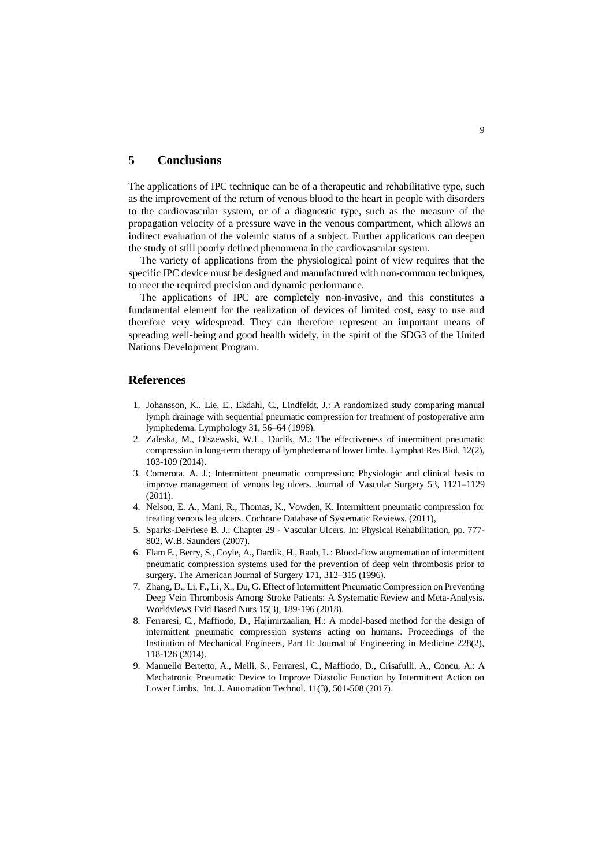#### **5 Conclusions**

The applications of IPC technique can be of a therapeutic and rehabilitative type, such as the improvement of the return of venous blood to the heart in people with disorders to the cardiovascular system, or of a diagnostic type, such as the measure of the propagation velocity of a pressure wave in the venous compartment, which allows an indirect evaluation of the volemic status of a subject. Further applications can deepen the study of still poorly defined phenomena in the cardiovascular system.

The variety of applications from the physiological point of view requires that the specific IPC device must be designed and manufactured with non-common techniques, to meet the required precision and dynamic performance.

The applications of IPC are completely non-invasive, and this constitutes a fundamental element for the realization of devices of limited cost, easy to use and therefore very widespread. They can therefore represent an important means of spreading well-being and good health widely, in the spirit of the SDG3 of the United Nations Development Program.

#### **References**

- 1. Johansson, K., Lie, E., Ekdahl, C., Lindfeldt, J.: A randomized study comparing manual lymph drainage with sequential pneumatic compression for treatment of postoperative arm lymphedema. Lymphology 31, 56–64 (1998).
- 2. Zaleska, M., Olszewski, W.L., Durlik, M.: The effectiveness of intermittent pneumatic compression in long-term therapy of lymphedema of lower limbs. Lymphat Res Biol. 12(2), 103-109 (2014).
- 3. Comerota, A. J.; Intermittent pneumatic compression: Physiologic and clinical basis to improve management of venous leg ulcers. Journal of Vascular Surgery 53, 1121–1129 (2011).
- 4. Nelson, E. A., Mani, R., Thomas, K., Vowden, K. Intermittent pneumatic compression for treating venous leg ulcers. Cochrane Database of Systematic Reviews. (2011),
- 5. Sparks-DeFriese B. J.: Chapter 29 Vascular Ulcers. In: Physical Rehabilitation, pp. 777- 802, W.B. Saunders (2007).
- 6. Flam E., Berry, S., Coyle, A., Dardik, H., Raab, L.: Blood-flow augmentation of intermittent pneumatic compression systems used for the prevention of deep vein thrombosis prior to surgery. The American Journal of Surgery 171, 312–315 (1996).
- 7. Zhang, D., Li, F., Li, X., Du, G. Effect of Intermittent Pneumatic Compression on Preventing Deep Vein Thrombosis Among Stroke Patients: A Systematic Review and Meta-Analysis. Worldviews Evid Based Nurs 15(3), 189-196 (2018).
- 8. Ferraresi, C., Maffiodo, D., Hajimirzaalian, H.: A model-based method for the design of intermittent pneumatic compression systems acting on humans. Proceedings of the Institution of Mechanical Engineers, Part H: Journal of Engineering in Medicine 228(2), 118-126 (2014).
- 9. Manuello Bertetto, A., Meili, S., Ferraresi, C., Maffiodo, D., Crisafulli, A., Concu, A.: A Mechatronic Pneumatic Device to Improve Diastolic Function by Intermittent Action on Lower Limbs. Int. J. Automation Technol. 11(3), 501-508 (2017).